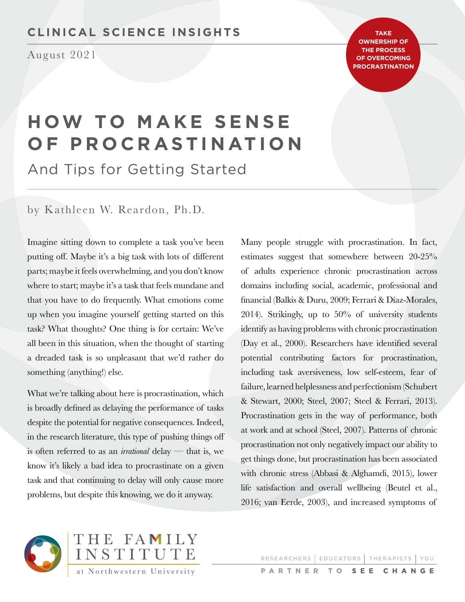# **CLINICAL SCIENCE INSIGHTS**

August 2021

**TAKE OWNERSHIP OF THE PROCESS OF OVERCOMING PROCRASTINATION**

# **HOW TO MAKE SENSE OF PROCRASTINATION**

And Tips for Getting Started

by Kathleen W. Reardon, Ph.D.

Imagine sitting down to complete a task you've been putting off. Maybe it's a big task with lots of different parts; maybe it feels overwhelming, and you don't know where to start; maybe it's a task that feels mundane and that you have to do frequently. What emotions come up when you imagine yourself getting started on this task? What thoughts? One thing is for certain: We've all been in this situation, when the thought of starting a dreaded task is so unpleasant that we'd rather do something (anything!) else.

What we're talking about here is procrastination, which is broadly defined as delaying the performance of tasks despite the potential for negative consequences. Indeed, in the research literature, this type of pushing things off is often referred to as an *irrational* delay — that is, we know it's likely a bad idea to procrastinate on a given task and that continuing to delay will only cause more problems, but despite this knowing, we do it anyway.

Many people struggle with procrastination. In fact, estimates suggest that somewhere between 20-25% of adults experience chronic procrastination across domains including social, academic, professional and financial (Balkis & Duru, 2009; Ferrari & Díaz-Morales, 2014). Strikingly, up to 50% of university students identify as having problems with chronic procrastination (Day et al., 2000). Researchers have identified several potential contributing factors for procrastination, including task aversiveness, low self-esteem, fear of failure, learned helplessness and perfectionism (Schubert & Stewart, 2000; Steel, 2007; Steel & Ferrari, 2013). Procrastination gets in the way of performance, both at work and at school (Steel, 2007). Patterns of chronic procrastination not only negatively impact our ability to get things done, but procrastination has been associated with chronic stress (Abbasi & Alghamdi, 2015), lower life satisfaction and overall wellbeing (Beutel et al., 2016; van Eerde, 2003), and increased symptoms of



RESEARCHERS | EDUCATORS | THERAPISTS | YOU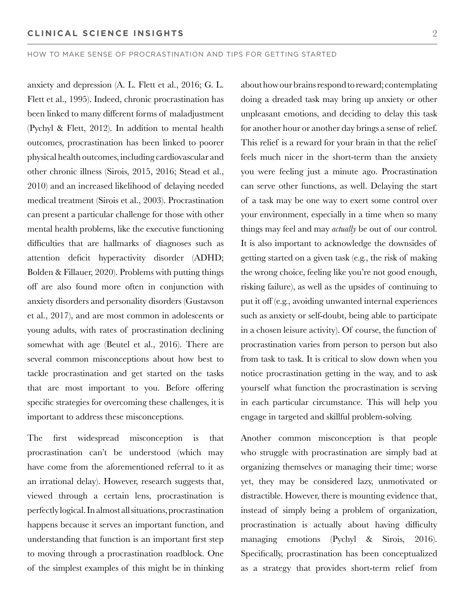anxiety and depression (A. L. Flett et al., 2016; G. L. Flett et al., 1995). Indeed, chronic procrastination has been linked to many different forms of maladjustment (Pychyl & Flett, 2012). In addition to mental health outcomes, procrastination has been linked to poorer physical health outcomes, including cardiovascular and other chronic illness (Sirois, 2015, 2016; Stead et al., 2010) and an increased likelihood of delaying needed medical treatment (Sirois et al., 2003). Procrastination can present a particular challenge for those with other mental health problems, like the executive functioning difficulties that are hallmarks of diagnoses such as attention deficit hyperactivity disorder (ADHD; Bolden & Fillauer, 2020). Problems with putting things off are also found more often in conjunction with anxiety disorders and personality disorders (Gustavson et al., 2017), and are most common in adolescents or young adults, with rates of procrastination declining somewhat with age (Beutel et al., 2016). There are several common misconceptions about how best to tackle procrastination and get started on the tasks that are most important to you. Before offering specific strategies for overcoming these challenges, it is important to address these misconceptions.

The first widespread misconception is that procrastination can't be understood (which may have come from the aforementioned referral to it as an irrational delay). However, research suggests that, viewed through a certain lens, procrastination is perfectly logical. In almost all situations, procrastination happens because it serves an important function, and understanding that function is an important first step to moving through a procrastination roadblock. One of the simplest examples of this might be in thinking about how our brains respond to reward; contemplating doing a dreaded task may bring up anxiety or other unpleasant emotions, and deciding to delay this task for another hour or another day brings a sense of relief. This relief is a reward for your brain in that the relief feels much nicer in the short-term than the anxiety you were feeling just a minute ago. Procrastination can serve other functions, as well. Delaying the start of a task may be one way to exert some control over your environment, especially in a time when so many things may feel and may *actually* be out of our control. It is also important to acknowledge the downsides of getting started on a given task (e.g., the risk of making the wrong choice, feeling like you're not good enough, risking failure), as well as the upsides of continuing to put it off (e.g., avoiding unwanted internal experiences such as anxiety or self-doubt, being able to participate in a chosen leisure activity). Of course, the function of procrastination varies from person to person but also from task to task. It is critical to slow down when you notice procrastination getting in the way, and to ask yourself what function the procrastination is serving in each particular circumstance. This will help you engage in targeted and skillful problem-solving.

Another common misconception is that people who struggle with procrastination are simply bad at organizing themselves or managing their time; worse yet, they may be considered lazy, unmotivated or distractible. However, there is mounting evidence that, instead of simply being a problem of organization, procrastination is actually about having difficulty managing emotions (Pychyl & Sirois, 2016). Specifically, procrastination has been conceptualized as a strategy that provides short-term relief from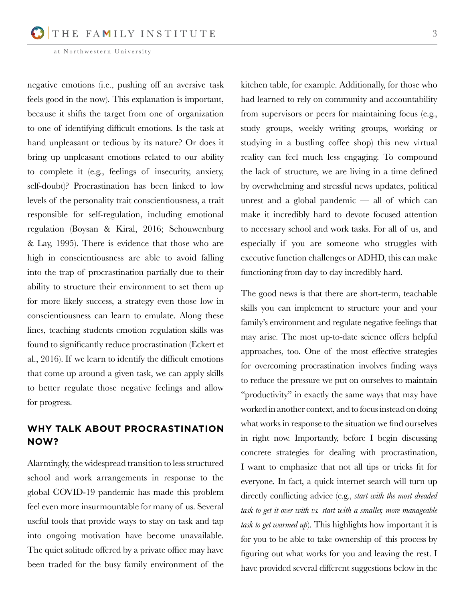negative emotions (i.e., pushing off an aversive task feels good in the now). This explanation is important, because it shifts the target from one of organization to one of identifying difficult emotions. Is the task at hand unpleasant or tedious by its nature? Or does it bring up unpleasant emotions related to our ability to complete it (e.g., feelings of insecurity, anxiety, self-doubt)? Procrastination has been linked to low levels of the personality trait conscientiousness, a trait responsible for self-regulation, including emotional regulation (Boysan & Kiral, 2016; Schouwenburg & Lay, 1995). There is evidence that those who are high in conscientiousness are able to avoid falling into the trap of procrastination partially due to their ability to structure their environment to set them up for more likely success, a strategy even those low in conscientiousness can learn to emulate. Along these lines, teaching students emotion regulation skills was found to significantly reduce procrastination (Eckert et al., 2016). If we learn to identify the difficult emotions that come up around a given task, we can apply skills to better regulate those negative feelings and allow for progress.

# **WHY TALK ABOUT PROCRASTINATION NOW?**

Alarmingly, the widespread transition to less structured school and work arrangements in response to the global COVID-19 pandemic has made this problem feel even more insurmountable for many of us. Several useful tools that provide ways to stay on task and tap into ongoing motivation have become unavailable. The quiet solitude offered by a private office may have been traded for the busy family environment of the

kitchen table, for example. Additionally, for those who had learned to rely on community and accountability from supervisors or peers for maintaining focus (e.g., study groups, weekly writing groups, working or studying in a bustling coffee shop) this new virtual reality can feel much less engaging. To compound the lack of structure, we are living in a time defined by overwhelming and stressful news updates, political unrest and a global pandemic — all of which can make it incredibly hard to devote focused attention to necessary school and work tasks. For all of us, and especially if you are someone who struggles with executive function challenges or ADHD, this can make functioning from day to day incredibly hard.

The good news is that there are short-term, teachable skills you can implement to structure your and your family's environment and regulate negative feelings that may arise. The most up-to-date science offers helpful approaches, too. One of the most effective strategies for overcoming procrastination involves finding ways to reduce the pressure we put on ourselves to maintain "productivity" in exactly the same ways that may have worked in another context, and to focus instead on doing what works in response to the situation we find ourselves in right now. Importantly, before I begin discussing concrete strategies for dealing with procrastination, I want to emphasize that not all tips or tricks fit for everyone. In fact, a quick internet search will turn up directly conflicting advice (e.g., *start with the most dreaded task to get it over with vs. start with a smaller, more manageable task to get warmed up*). This highlights how important it is for you to be able to take ownership of this process by figuring out what works for you and leaving the rest. I have provided several different suggestions below in the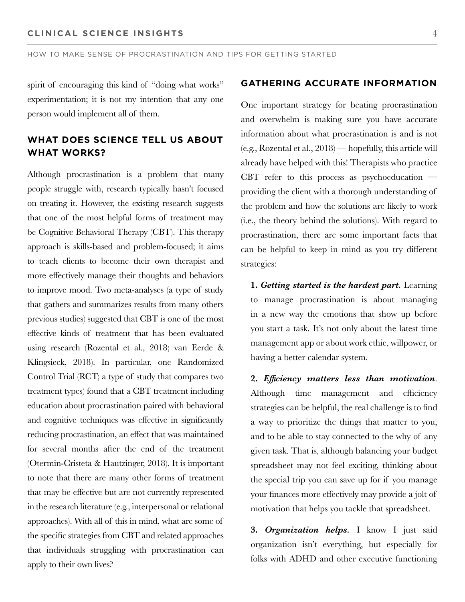spirit of encouraging this kind of "doing what works" experimentation; it is not my intention that any one person would implement all of them.

# **WHAT DOES SCIENCE TELL US ABOUT WHAT WORKS?**

Although procrastination is a problem that many people struggle with, research typically hasn't focused on treating it. However, the existing research suggests that one of the most helpful forms of treatment may be Cognitive Behavioral Therapy (CBT). This therapy approach is skills-based and problem-focused; it aims to teach clients to become their own therapist and more effectively manage their thoughts and behaviors to improve mood. Two meta-analyses (a type of study that gathers and summarizes results from many others previous studies) suggested that CBT is one of the most effective kinds of treatment that has been evaluated using research (Rozental et al., 2018; van Eerde & Klingsieck, 2018). In particular, one Randomized Control Trial (RCT; a type of study that compares two treatment types) found that a CBT treatment including education about procrastination paired with behavioral and cognitive techniques was effective in significantly reducing procrastination, an effect that was maintained for several months after the end of the treatment (Otermin-Cristeta & Hautzinger, 2018). It is important to note that there are many other forms of treatment that may be effective but are not currently represented in the research literature (e.g., interpersonal or relational approaches). With all of this in mind, what are some of the specific strategies from CBT and related approaches that individuals struggling with procrastination can apply to their own lives?

## **GATHERING ACCURATE INFORMATION**

One important strategy for beating procrastination and overwhelm is making sure you have accurate information about what procrastination is and is not (e.g., Rozental et al., 2018) — hopefully, this article will already have helped with this! Therapists who practice CBT refer to this process as psychoeducation  $$ providing the client with a thorough understanding of the problem and how the solutions are likely to work (i.e., the theory behind the solutions). With regard to procrastination, there are some important facts that can be helpful to keep in mind as you try different strategies:

**1.** *Getting started is the hardest part.* Learning to manage procrastination is about managing in a new way the emotions that show up before you start a task. It's not only about the latest time management app or about work ethic, willpower, or having a better calendar system.

**2.** *Efficiency matters less than motivation*. Although time management and efficiency strategies can be helpful, the real challenge is to find a way to prioritize the things that matter to you, and to be able to stay connected to the why of any given task. That is, although balancing your budget spreadsheet may not feel exciting, thinking about the special trip you can save up for if you manage your finances more effectively may provide a jolt of motivation that helps you tackle that spreadsheet.

**3.** *Organization helps.* I know I just said organization isn't everything, but especially for folks with ADHD and other executive functioning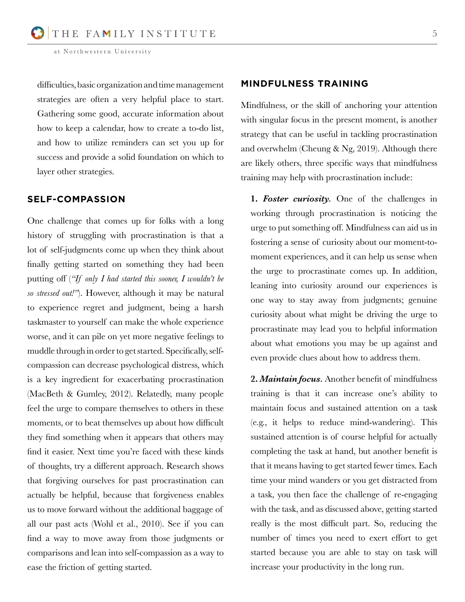difficulties, basic organization and time management strategies are often a very helpful place to start. Gathering some good, accurate information about how to keep a calendar, how to create a to-do list, and how to utilize reminders can set you up for success and provide a solid foundation on which to layer other strategies.

#### **SELF-COMPASSION**

One challenge that comes up for folks with a long history of struggling with procrastination is that a lot of self-judgments come up when they think about finally getting started on something they had been putting off (*"If only I had started this sooner, I wouldn't be so stressed out!"*). However, although it may be natural to experience regret and judgment, being a harsh taskmaster to yourself can make the whole experience worse, and it can pile on yet more negative feelings to muddle through in order to get started. Specifically, selfcompassion can decrease psychological distress, which is a key ingredient for exacerbating procrastination (MacBeth & Gumley, 2012). Relatedly, many people feel the urge to compare themselves to others in these moments, or to beat themselves up about how difficult they find something when it appears that others may find it easier. Next time you're faced with these kinds of thoughts, try a different approach. Research shows that forgiving ourselves for past procrastination can actually be helpful, because that forgiveness enables us to move forward without the additional baggage of all our past acts (Wohl et al., 2010). See if you can find a way to move away from those judgments or comparisons and lean into self-compassion as a way to ease the friction of getting started.

# **MINDFULNESS TRAINING**

Mindfulness, or the skill of anchoring your attention with singular focus in the present moment, is another strategy that can be useful in tackling procrastination and overwhelm (Cheung & Ng, 2019). Although there are likely others, three specific ways that mindfulness training may help with procrastination include:

**1.** *Foster curiosity.* One of the challenges in working through procrastination is noticing the urge to put something off. Mindfulness can aid us in fostering a sense of curiosity about our moment-tomoment experiences, and it can help us sense when the urge to procrastinate comes up. In addition, leaning into curiosity around our experiences is one way to stay away from judgments; genuine curiosity about what might be driving the urge to procrastinate may lead you to helpful information about what emotions you may be up against and even provide clues about how to address them.

**2.** *Maintain focus.* Another benefit of mindfulness training is that it can increase one's ability to maintain focus and sustained attention on a task (e.g., it helps to reduce mind-wandering). This sustained attention is of course helpful for actually completing the task at hand, but another benefit is that it means having to get started fewer times. Each time your mind wanders or you get distracted from a task, you then face the challenge of re-engaging with the task, and as discussed above, getting started really is the most difficult part. So, reducing the number of times you need to exert effort to get started because you are able to stay on task will increase your productivity in the long run.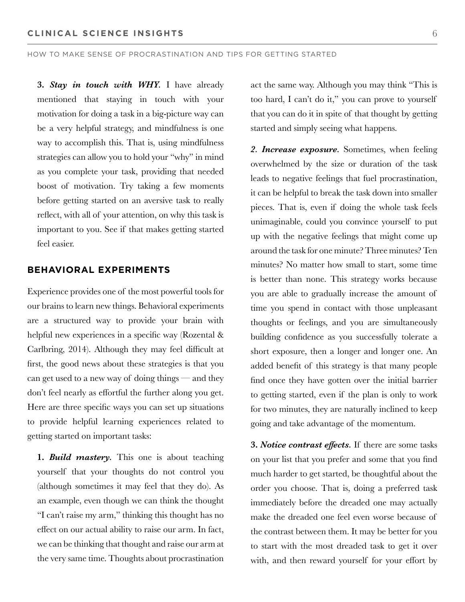**3.** *Stay in touch with WHY.* I have already mentioned that staying in touch with your motivation for doing a task in a big-picture way can be a very helpful strategy, and mindfulness is one way to accomplish this. That is, using mindfulness strategies can allow you to hold your "why" in mind as you complete your task, providing that needed boost of motivation. Try taking a few moments before getting started on an aversive task to really reflect, with all of your attention, on why this task is important to you. See if that makes getting started feel easier.

## **BEHAVIORAL EXPERIMENTS**

Experience provides one of the most powerful tools for our brains to learn new things. Behavioral experiments are a structured way to provide your brain with helpful new experiences in a specific way (Rozental & Carlbring, 2014). Although they may feel difficult at first, the good news about these strategies is that you can get used to a new way of doing things — and they don't feel nearly as effortful the further along you get. Here are three specific ways you can set up situations to provide helpful learning experiences related to getting started on important tasks:

**1.** *Build mastery.* This one is about teaching yourself that your thoughts do not control you (although sometimes it may feel that they do). As an example, even though we can think the thought "I can't raise my arm," thinking this thought has no effect on our actual ability to raise our arm. In fact, we can be thinking that thought and raise our arm at the very same time. Thoughts about procrastination

act the same way. Although you may think "This is too hard, I can't do it," you can prove to yourself that you can do it in spite of that thought by getting started and simply seeing what happens.

*2. Increase exposure.* Sometimes, when feeling overwhelmed by the size or duration of the task leads to negative feelings that fuel procrastination, it can be helpful to break the task down into smaller pieces. That is, even if doing the whole task feels unimaginable, could you convince yourself to put up with the negative feelings that might come up around the task for one minute? Three minutes? Ten minutes? No matter how small to start, some time is better than none. This strategy works because you are able to gradually increase the amount of time you spend in contact with those unpleasant thoughts or feelings, and you are simultaneously building confidence as you successfully tolerate a short exposure, then a longer and longer one. An added benefit of this strategy is that many people find once they have gotten over the initial barrier to getting started, even if the plan is only to work for two minutes, they are naturally inclined to keep going and take advantage of the momentum.

**3.** *Notice contrast effects.* If there are some tasks on your list that you prefer and some that you find much harder to get started, be thoughtful about the order you choose. That is, doing a preferred task immediately before the dreaded one may actually make the dreaded one feel even worse because of the contrast between them. It may be better for you to start with the most dreaded task to get it over with, and then reward yourself for your effort by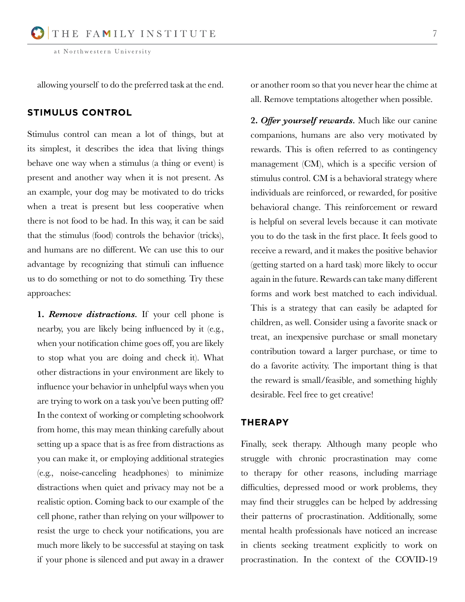allowing yourself to do the preferred task at the end.

# **STIMULUS CONTROL**

Stimulus control can mean a lot of things, but at its simplest, it describes the idea that living things behave one way when a stimulus (a thing or event) is present and another way when it is not present. As an example, your dog may be motivated to do tricks when a treat is present but less cooperative when there is not food to be had. In this way, it can be said that the stimulus (food) controls the behavior (tricks), and humans are no different. We can use this to our advantage by recognizing that stimuli can influence us to do something or not to do something. Try these approaches:

**1.** *Remove distractions.* If your cell phone is nearby, you are likely being influenced by it (e.g., when your notification chime goes off, you are likely to stop what you are doing and check it). What other distractions in your environment are likely to influence your behavior in unhelpful ways when you are trying to work on a task you've been putting off? In the context of working or completing schoolwork from home, this may mean thinking carefully about setting up a space that is as free from distractions as you can make it, or employing additional strategies (e.g., noise-canceling headphones) to minimize distractions when quiet and privacy may not be a realistic option. Coming back to our example of the cell phone, rather than relying on your willpower to resist the urge to check your notifications, you are much more likely to be successful at staying on task if your phone is silenced and put away in a drawer

or another room so that you never hear the chime at all. Remove temptations altogether when possible.

**2.** *Offer yourself rewards.* Much like our canine companions, humans are also very motivated by rewards. This is often referred to as contingency management (CM), which is a specific version of stimulus control. CM is a behavioral strategy where individuals are reinforced, or rewarded, for positive behavioral change. This reinforcement or reward is helpful on several levels because it can motivate you to do the task in the first place. It feels good to receive a reward, and it makes the positive behavior (getting started on a hard task) more likely to occur again in the future. Rewards can take many different forms and work best matched to each individual. This is a strategy that can easily be adapted for children, as well. Consider using a favorite snack or treat, an inexpensive purchase or small monetary contribution toward a larger purchase, or time to do a favorite activity. The important thing is that the reward is small/feasible, and something highly desirable. Feel free to get creative!

## **THERAPY**

Finally, seek therapy. Although many people who struggle with chronic procrastination may come to therapy for other reasons, including marriage difficulties, depressed mood or work problems, they may find their struggles can be helped by addressing their patterns of procrastination. Additionally, some mental health professionals have noticed an increase in clients seeking treatment explicitly to work on procrastination. In the context of the COVID-19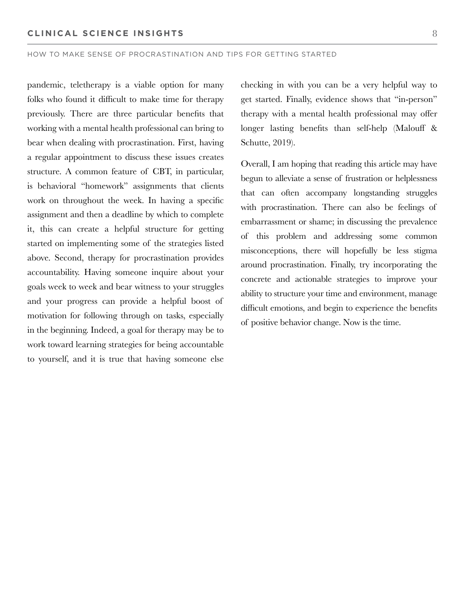pandemic, teletherapy is a viable option for many folks who found it difficult to make time for therapy previously. There are three particular benefits that working with a mental health professional can bring to bear when dealing with procrastination. First, having a regular appointment to discuss these issues creates structure. A common feature of CBT, in particular, is behavioral "homework" assignments that clients work on throughout the week. In having a specific assignment and then a deadline by which to complete it, this can create a helpful structure for getting started on implementing some of the strategies listed above. Second, therapy for procrastination provides accountability. Having someone inquire about your goals week to week and bear witness to your struggles and your progress can provide a helpful boost of motivation for following through on tasks, especially in the beginning. Indeed, a goal for therapy may be to work toward learning strategies for being accountable to yourself, and it is true that having someone else

checking in with you can be a very helpful way to get started. Finally, evidence shows that "in-person" therapy with a mental health professional may offer longer lasting benefits than self-help (Malouff & Schutte, 2019).

Overall, I am hoping that reading this article may have begun to alleviate a sense of frustration or helplessness that can often accompany longstanding struggles with procrastination. There can also be feelings of embarrassment or shame; in discussing the prevalence of this problem and addressing some common misconceptions, there will hopefully be less stigma around procrastination. Finally, try incorporating the concrete and actionable strategies to improve your ability to structure your time and environment, manage difficult emotions, and begin to experience the benefits of positive behavior change. Now is the time.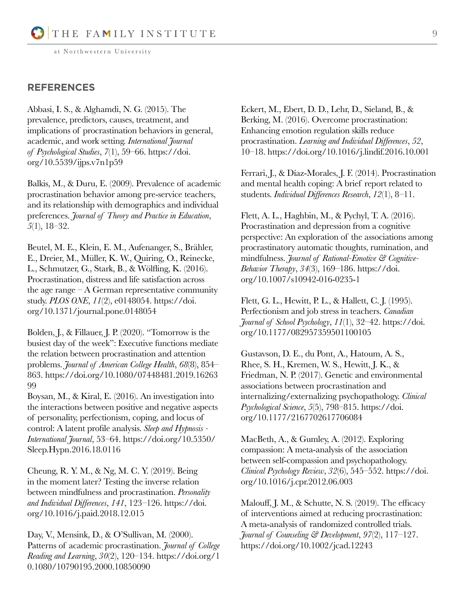## **REFERENCES**

Abbasi, I. S., & Alghamdi, N. G. (2015). The prevalence, predictors, causes, treatment, and implications of procrastination behaviors in general, academic, and work setting. *International Journal of Psychological Studies*, *7*(1), 59–66. https://doi. org/10.5539/ijps.v7n1p59

Balkis, M., & Duru, E. (2009). Prevalence of academic procrastination behavior among pre-service teachers, and its relationship with demographics and individual preferences. *Journal of Theory and Practice in Education*, *5*(1), 18–32.

Beutel, M. E., Klein, E. M., Aufenanger, S., Brähler, E., Dreier, M., Müller, K. W., Quiring, O., Reinecke, L., Schmutzer, G., Stark, B., & Wölfling, K. (2016). Procrastination, distress and life satisfaction across the age range  $-A$  German representative community study. *PLOS ONE*, *11*(2), e0148054. https://doi. org/10.1371/journal.pone.0148054

Bolden, J., & Fillauer, J. P. (2020). "Tomorrow is the busiest day of the week": Executive functions mediate the relation between procrastination and attention problems. *Journal of American College Health*, *68*(8), 854– 863. https://doi.org/10.1080/07448481.2019.16263 99

Boysan, M., & Kiral, E. (2016). An investigation into the interactions between positive and negative aspects of personality, perfectionism, coping, and locus of control: A latent profile analysis. *Sleep and Hypnosis - International Journal*, 53–64. https://doi.org/10.5350/ Sleep.Hypn.2016.18.0116

Cheung, R. Y. M., & Ng, M. C. Y. (2019). Being in the moment later? Testing the inverse relation between mindfulness and procrastination. *Personality and Individual Differences*, *141*, 123–126. https://doi. org/10.1016/j.paid.2018.12.015

Day, V., Mensink, D., & O'Sullivan, M. (2000). Patterns of academic procrastination. *Journal of College Reading and Learning*, *30*(2), 120–134. https://doi.org/1 0.1080/10790195.2000.10850090

Eckert, M., Ebert, D. D., Lehr, D., Sieland, B., & Berking, M. (2016). Overcome procrastination: Enhancing emotion regulation skills reduce procrastination. *Learning and Individual Differences*, *52*, 10–18. https://doi.org/10.1016/j.lindif.2016.10.001

Ferrari, J., & Díaz-Morales, J. F. (2014). Procrastination and mental health coping: A brief report related to students. *Individual Differences Research*, *12*(1), 8–11.

Flett, A. L., Haghbin, M., & Pychyl, T. A. (2016). Procrastination and depression from a cognitive perspective: An exploration of the associations among procrastinatory automatic thoughts, rumination, and mindfulness. *Journal of Rational-Emotive & Cognitive-Behavior Therapy*, *34*(3), 169–186. https://doi. org/10.1007/s10942-016-0235-1

Flett, G. L., Hewitt, P. L., & Hallett, C. J. (1995). Perfectionism and job stress in teachers. *Canadian Journal of School Psychology*, *11*(1), 32–42. https://doi. org/10.1177/082957359501100105

Gustavson, D. E., du Pont, A., Hatoum, A. S., Rhee, S. H., Kremen, W. S., Hewitt, J. K., & Friedman, N. P. (2017). Genetic and environmental associations between procrastination and internalizing/externalizing psychopathology. *Clinical Psychological Science*, *5*(5), 798–815. https://doi. org/10.1177/2167702617706084

MacBeth, A., & Gumley, A. (2012). Exploring compassion: A meta-analysis of the association between self-compassion and psychopathology. *Clinical Psychology Review*, *32*(6), 545–552. https://doi. org/10.1016/j.cpr.2012.06.003

Malouff, J. M., & Schutte, N. S. (2019). The efficacy of interventions aimed at reducing procrastination: A meta-analysis of randomized controlled trials. *Journal of Counseling & Development*, *97*(2), 117–127. https://doi.org/10.1002/jcad.12243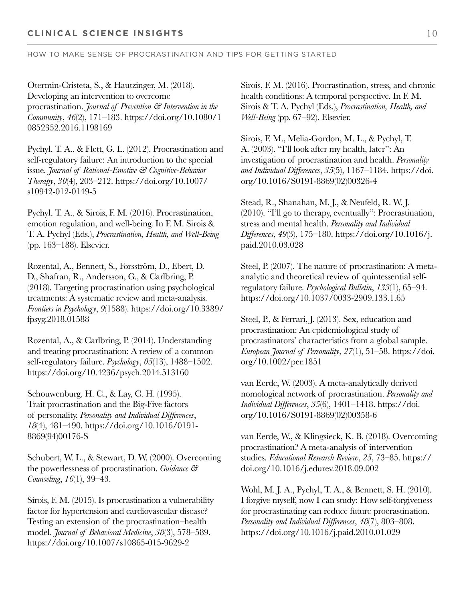Otermin-Cristeta, S., & Hautzinger, M. (2018). Developing an intervention to overcome procrastination. *Journal of Prevention & Intervention in the Community*, *46*(2), 171–183. https://doi.org/10.1080/1 0852352.2016.1198169

Pychyl, T. A., & Flett, G. L. (2012). Procrastination and self-regulatory failure: An introduction to the special issue. *Journal of Rational-Emotive & Cognitive-Behavior Therapy*, *30*(4), 203–212. https://doi.org/10.1007/ s10942-012-0149-5

Pychyl, T. A., & Sirois, F. M. (2016). Procrastination, emotion regulation, and well-being. In F. M. Sirois & T. A. Pychyl (Eds.), *Procrastination, Health, and Well-Being* (pp. 163–188). Elsevier.

Rozental, A., Bennett, S., Forsström, D., Ebert, D. D., Shafran, R., Andersson, G., & Carlbring, P. (2018). Targeting procrastination using psychological treatments: A systematic review and meta-analysis. *Frontiers in Psychology*, *9*(1588). https://doi.org/10.3389/ fpsyg.2018.01588

Rozental, A., & Carlbring, P. (2014). Understanding and treating procrastination: A review of a common self-regulatory failure. *Psychology*, *05*(13), 1488–1502. https://doi.org/10.4236/psych.2014.513160

Schouwenburg, H. C., & Lay, C. H. (1995). Trait procrastination and the Big-Five factors of personality. *Personality and Individual Differences*, *18*(4), 481–490. https://doi.org/10.1016/0191- 8869(94)00176-S

Schubert, W. L., & Stewart, D. W. (2000). Overcoming the powerlessness of procrastination. *Guidance & Counseling*, *16*(1), 39–43.

Sirois, F. M. (2015). Is procrastination a vulnerability factor for hypertension and cardiovascular disease? Testing an extension of the procrastination–health model. *Journal of Behavioral Medicine*, *38*(3), 578–589. https://doi.org/10.1007/s10865-015-9629-2

Sirois, F. M. (2016). Procrastination, stress, and chronic health conditions: A temporal perspective. In F. M. Sirois & T. A. Pychyl (Eds.), *Procrastination, Health, and Well-Being* (pp. 67–92). Elsevier.

Sirois, F. M., Melia-Gordon, M. L., & Pychyl, T. A. (2003). "I'll look after my health, later": An investigation of procrastination and health. *Personality and Individual Differences*, *35*(5), 1167–1184. https://doi. org/10.1016/S0191-8869(02)00326-4

Stead, R., Shanahan, M. J., & Neufeld, R. W. J. (2010). "I'll go to therapy, eventually": Procrastination, stress and mental health. *Personality and Individual Differences*, *49*(3), 175–180. https://doi.org/10.1016/j. paid.2010.03.028

Steel, P. (2007). The nature of procrastination: A metaanalytic and theoretical review of quintessential selfregulatory failure. *Psychological Bulletin*, *133*(1), 65–94. https://doi.org/10.1037/0033-2909.133.1.65

Steel, P., & Ferrari, J. (2013). Sex, education and procrastination: An epidemiological study of procrastinators' characteristics from a global sample. *European Journal of Personality*, *27*(1), 51–58. https://doi. org/10.1002/per.1851

van Eerde, W. (2003). A meta-analytically derived nomological network of procrastination. *Personality and Individual Differences*, *35*(6), 1401–1418. https://doi. org/10.1016/S0191-8869(02)00358-6

van Eerde, W., & Klingsieck, K. B. (2018). Overcoming procrastination? A meta-analysis of intervention studies. *Educational Research Review*, *25*, 73–85. https:// doi.org/10.1016/j.edurev.2018.09.002

Wohl, M. J. A., Pychyl, T. A., & Bennett, S. H. (2010). I forgive myself, now I can study: How self-forgiveness for procrastinating can reduce future procrastination. *Personality and Individual Differences*, *48*(7), 803–808. https://doi.org/10.1016/j.paid.2010.01.029